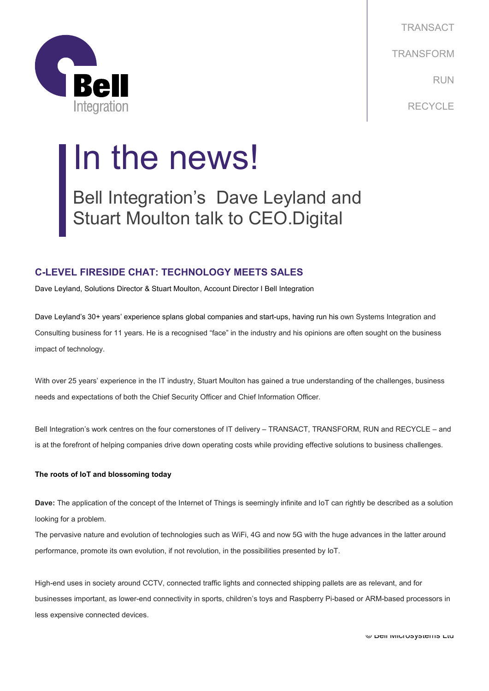

TRANSACT TRANSFORM RUN RECYCLE

# In the news!

Bell Integration's Dave Leyland and Stuart Moulton talk to CEO.Digital

# **C-LEVEL FIRESIDE CHAT: TECHNOLOGY MEETS SALES**

Dave Leyland, Solutions Director & Stuart Moulton, Account Director I Bell Integration

Dave Leyland's 30+ years' experience splans global companies and start-ups, having run his own Systems Integration and Consulting business for 11 years. He is a recognised "face" in the industry and his opinions are often sought on the business impact of technology.

With over 25 years' experience in the IT industry, Stuart Moulton has gained a true understanding of the challenges, business needs and expectations of both the Chief Security Officer and Chief Information Officer.

Bell Integration's work centres on the four cornerstones of IT delivery – TRANSACT, TRANSFORM, RUN and RECYCLE – and is at the forefront of helping companies drive down operating costs while providing effective solutions to business challenges.

# **The roots of IoT and blossoming today**

**Dave:** The application of the concept of the Internet of Things is seemingly infinite and IoT can rightly be described as a solution looking for a problem.

The pervasive nature and evolution of technologies such as WiFi, 4G and now 5G with the huge advances in the latter around performance, promote its own evolution, if not revolution, in the possibilities presented by IoT.

High-end uses in society around CCTV, connected traffic lights and connected shipping pallets are as relevant, and for businesses important, as lower-end connectivity in sports, children's toys and Raspberry Pi-based or ARM-based processors in less expensive connected devices.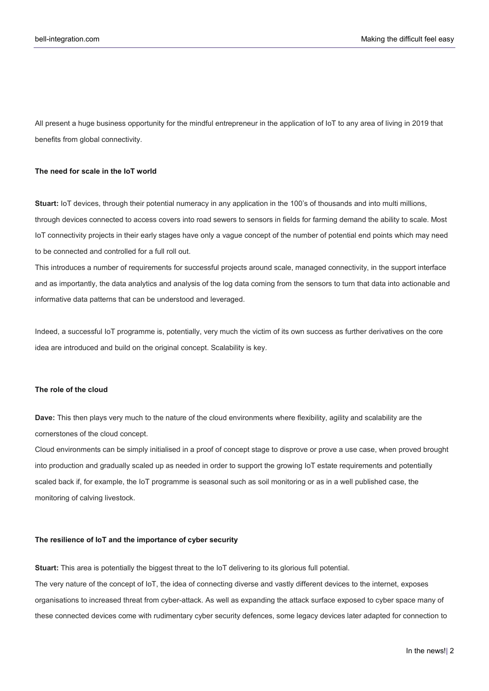All present a huge business opportunity for the mindful entrepreneur in the application of IoT to any area of living in 2019 that benefits from global connectivity.

## **The need for scale in the IoT world**

**Stuart:** IoT devices, through their potential numeracy in any application in the 100's of thousands and into multi millions, through devices connected to access covers into road sewers to sensors in fields for farming demand the ability to scale. Most IoT connectivity projects in their early stages have only a vague concept of the number of potential end points which may need to be connected and controlled for a full roll out.

This introduces a number of requirements for successful projects around scale, managed connectivity, in the support interface and as importantly, the data analytics and analysis of the log data coming from the sensors to turn that data into actionable and informative data patterns that can be understood and leveraged.

Indeed, a successful IoT programme is, potentially, very much the victim of its own success as further derivatives on the core idea are introduced and build on the original concept. Scalability is key.

### **The role of the cloud**

**Dave:** This then plays very much to the nature of the cloud environments where flexibility, agility and scalability are the cornerstones of the cloud concept.

Cloud environments can be simply initialised in a proof of concept stage to disprove or prove a use case, when proved brought into production and gradually scaled up as needed in order to support the growing IoT estate requirements and potentially scaled back if, for example, the IoT programme is seasonal such as soil monitoring or as in a well published case, the monitoring of calving livestock.

#### **The resilience of IoT and the importance of cyber security**

**Stuart:** This area is potentially the biggest threat to the IoT delivering to its glorious full potential.

The very nature of the concept of IoT, the idea of connecting diverse and vastly different devices to the internet, exposes organisations to increased threat from cyber-attack. As well as expanding the attack surface exposed to cyber space many of these connected devices come with rudimentary cyber security defences, some legacy devices later adapted for connection to